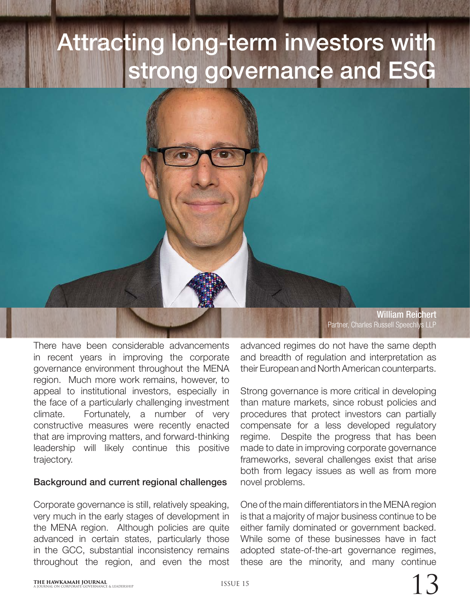## Attracting long-term investors with strong governance and ESG

There have been considerable advancements in recent years in improving the corporate governance environment throughout the MENA region. Much more work remains, however, to appeal to institutional investors, especially in the face of a particularly challenging investment climate. Fortunately, a number of very constructive measures were recently enacted that are improving matters, and forward-thinking leadership will likely continue this positive trajectory.

## Background and current regional challenges

Corporate governance is still, relatively speaking, very much in the early stages of development in the MENA region. Although policies are quite advanced in certain states, particularly those in the GCC, substantial inconsistency remains throughout the region, and even the most

William Reichert Partner, Charles Russell Speechlys LLP

advanced regimes do not have the same depth and breadth of regulation and interpretation as their European and North American counterparts.

Strong governance is more critical in developing than mature markets, since robust policies and procedures that protect investors can partially compensate for a less developed regulatory regime. Despite the progress that has been made to date in improving corporate governance frameworks, several challenges exist that arise both from legacy issues as well as from more novel problems.

One of the main differentiators in the MENA region is that a majority of major business continue to be either family dominated or government backed. While some of these businesses have in fact adopted state-of-the-art governance regimes, these are the minority, and many continue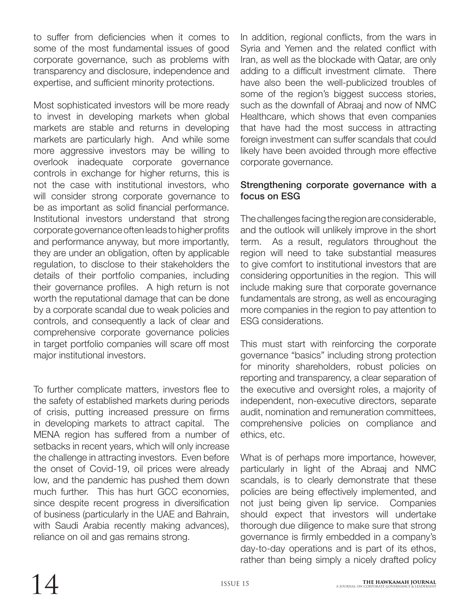to suffer from deficiencies when it comes to some of the most fundamental issues of good corporate governance, such as problems with transparency and disclosure, independence and expertise, and sufficient minority protections.

Most sophisticated investors will be more ready to invest in developing markets when global markets are stable and returns in developing markets are particularly high. And while some more aggressive investors may be willing to overlook inadequate corporate governance controls in exchange for higher returns, this is not the case with institutional investors, who will consider strong corporate governance to be as important as solid financial performance. Institutional investors understand that strong corporate governance often leads to higher profits and performance anyway, but more importantly, they are under an obligation, often by applicable regulation, to disclose to their stakeholders the details of their portfolio companies, including their governance profiles. A high return is not worth the reputational damage that can be done by a corporate scandal due to weak policies and controls, and consequently a lack of clear and comprehensive corporate governance policies in target portfolio companies will scare off most major institutional investors.

To further complicate matters, investors flee to the safety of established markets during periods of crisis, putting increased pressure on firms in developing markets to attract capital. The MENA region has suffered from a number of setbacks in recent years, which will only increase the challenge in attracting investors. Even before the onset of Covid-19, oil prices were already low, and the pandemic has pushed them down much further. This has hurt GCC economies, since despite recent progress in diversification of business (particularly in the UAE and Bahrain, with Saudi Arabia recently making advances), reliance on oil and gas remains strong.

In addition, regional conflicts, from the wars in Syria and Yemen and the related conflict with Iran, as well as the blockade with Qatar, are only adding to a difficult investment climate. There have also been the well-publicized troubles of some of the region's biggest success stories, such as the downfall of Abraaj and now of NMC Healthcare, which shows that even companies that have had the most success in attracting foreign investment can suffer scandals that could likely have been avoided through more effective corporate governance.

## Strengthening corporate governance with a focus on ESG

The challenges facing the region are considerable, and the outlook will unlikely improve in the short term. As a result, regulators throughout the region will need to take substantial measures to give comfort to institutional investors that are considering opportunities in the region. This will include making sure that corporate governance fundamentals are strong, as well as encouraging more companies in the region to pay attention to ESG considerations.

This must start with reinforcing the corporate governance "basics" including strong protection for minority shareholders, robust policies on reporting and transparency, a clear separation of the executive and oversight roles, a majority of independent, non-executive directors, separate audit, nomination and remuneration committees, comprehensive policies on compliance and ethics, etc.

What is of perhaps more importance, however, particularly in light of the Abraaj and NMC scandals, is to clearly demonstrate that these policies are being effectively implemented, and not just being given lip service. Companies should expect that investors will undertake thorough due diligence to make sure that strong governance is firmly embedded in a company's day-to-day operations and is part of its ethos, rather than being simply a nicely drafted policy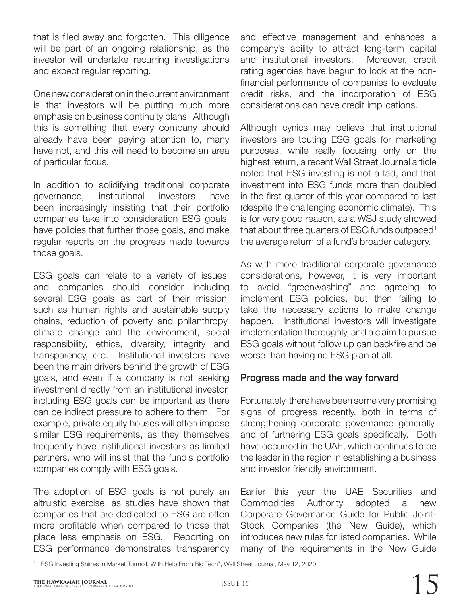that is filed away and forgotten. This diligence will be part of an ongoing relationship, as the investor will undertake recurring investigations and expect regular reporting.

One new consideration in the current environment is that investors will be putting much more emphasis on business continuity plans. Although this is something that every company should already have been paying attention to, many have not, and this will need to become an area of particular focus.

In addition to solidifying traditional corporate governance, institutional investors have been increasingly insisting that their portfolio companies take into consideration ESG goals, have policies that further those goals, and make regular reports on the progress made towards those goals.

ESG goals can relate to a variety of issues, and companies should consider including several ESG goals as part of their mission, such as human rights and sustainable supply chains, reduction of poverty and philanthropy, climate change and the environment, social responsibility, ethics, diversity, integrity and transparency, etc. Institutional investors have been the main drivers behind the growth of ESG goals, and even if a company is not seeking investment directly from an institutional investor, including ESG goals can be important as there can be indirect pressure to adhere to them. For example, private equity houses will often impose similar ESG requirements, as they themselves frequently have institutional investors as limited partners, who will insist that the fund's portfolio companies comply with ESG goals.

The adoption of ESG goals is not purely an altruistic exercise, as studies have shown that companies that are dedicated to ESG are often more profitable when compared to those that place less emphasis on ESG. Reporting on ESG performance demonstrates transparency

and effective management and enhances a company's ability to attract long-term capital and institutional investors. Moreover, credit rating agencies have begun to look at the nonfinancial performance of companies to evaluate credit risks, and the incorporation of ESG considerations can have credit implications.

Although cynics may believe that institutional investors are touting ESG goals for marketing purposes, while really focusing only on the highest return, a recent Wall Street Journal article noted that ESG investing is not a fad, and that investment into ESG funds more than doubled in the first quarter of this year compared to last (despite the challenging economic climate). This is for very good reason, as a WSJ study showed that about three quarters of ESG funds outpaced<sup>1</sup> the average return of a fund's broader category.

As with more traditional corporate governance considerations, however, it is very important to avoid "greenwashing" and agreeing to implement ESG policies, but then failing to take the necessary actions to make change happen. Institutional investors will investigate implementation thoroughly, and a claim to pursue ESG goals without follow up can backfire and be worse than having no ESG plan at all.

## Progress made and the way forward

Fortunately, there have been some very promising signs of progress recently, both in terms of strengthening corporate governance generally, and of furthering ESG goals specifically. Both have occurred in the UAE, which continues to be the leader in the region in establishing a business and investor friendly environment.

Earlier this year the UAE Securities and Commodities Authority adopted a new Corporate Governance Guide for Public Joint-Stock Companies (the New Guide), which introduces new rules for listed companies. While many of the requirements in the New Guide

<sup>1</sup> "ESG Investing Shines in Market Turmoil, With Help From Big Tech", Wall Street Journal, May 12, 2020.